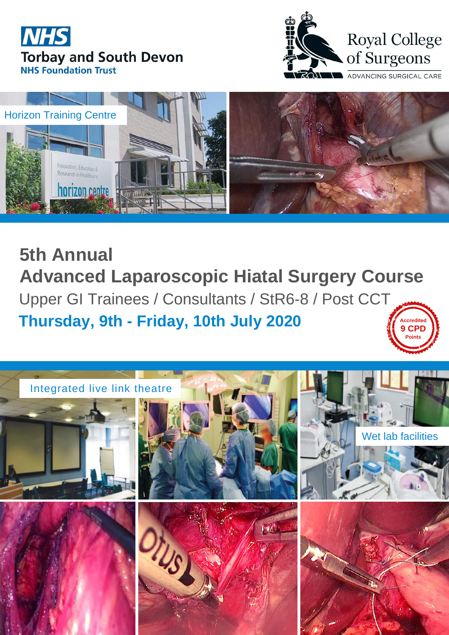**5th Annual Advanced Laparoscopic Hiatal Surgery Course** Upper GI Trainees / Consultants / StR6-8 / Post CCT **Thursday, 9th - Friday, 10th July 2020 Accredite 9 CPD**







### Integrated live link theatre







Wet lab facilities







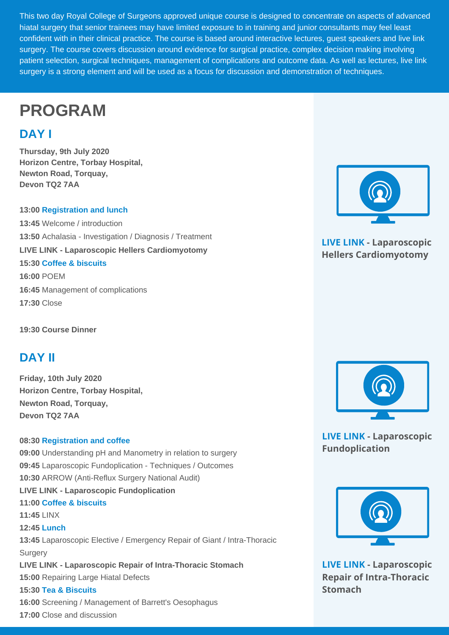This two day Royal College of Surgeons approved unique course is designed to concentrate on aspects of advanced hiatal surgery that senior trainees may have limited exposure to in training and junior consultants may feel least confident with in their clinical practice. The course is based around interactive lectures, guest speakers and live link surgery. The course covers discussion around evidence for surgical practice, complex decision making involving patient selection, surgical techniques, management of complications and outcome data. As well as lectures, live link surgery is a strong element and will be used as a focus for discussion and demonstration of techniques.

**13:45** Laparoscopic Elective / Emergency Repair of Giant / Intra-Thoracic **Surgery** 

**Thursday, 9th July 2020 Horizon Centre, Torbay Hospital, Newton Road, Torquay, Devon TQ2 7AA**

### **13:00 Registration and lunch**

**13:45** Welcome / introduction **13:50** Achalasia - Investigation / Diagnosis / Treatment **LIVE LINK - Laparoscopic Hellers Cardiomyotomy 15:30 Coffee & biscuits 16:00** POEM **16:45** Management of complications **17:30** Close

**19:30 Course Dinner**



**Friday, 10th July 2020 Horizon Centre, Torbay Hospital, Newton Road, Torquay, Devon TQ2 7AA**

### **08:30 Registration and coffee**

**09:00** Understanding pH and Manometry in relation to surgery **09:45** Laparoscopic Fundoplication - Techniques / Outcomes **10:30** ARROW (Anti-Reflux Surgery National Audit)

**LIVE LINK - Laparoscopic Fundoplication**

**11:00 Coffee & biscuits**

**11:45** LINX

### **12:45 Lunch**

**LIVE LINK - Laparoscopic Repair of Intra-Thoracic Stomach**

**15:00** Repairing Large Hiatal Defects

**15:30 Tea & Biscuits**

**16:00** Screening / Management of Barrett's Oesophagus

**17:00** Close and discussion



# **PROGRAM**

# **DAY I**

# **DAY II**

**LIVE LINK - Laparoscopic Hellers Cardiomyotomy**

**LIVE LINK - Laparoscopic Fundoplication**



**LIVE LINK - Laparoscopic Repair of Intra-Thoracic Stomach**